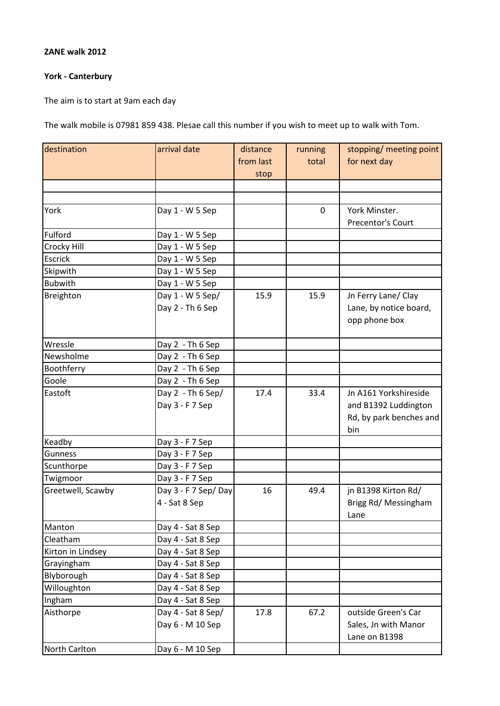## **ZANE walk 2012**

## **York - Canterbury**

The aim is to start at 9am each day

The walk mobile is 07981 859 438. Plesae call this number if you wish to meet up to walk with Tom.

| destination       | arrival date        | distance  | running     | stopping/ meeting point |
|-------------------|---------------------|-----------|-------------|-------------------------|
|                   |                     | from last | total       | for next day            |
|                   |                     | stop      |             |                         |
|                   |                     |           |             |                         |
|                   |                     |           |             |                         |
| York              | Day 1 - W 5 Sep     |           | $\mathbf 0$ | York Minster.           |
|                   |                     |           |             | Precentor's Court       |
| Fulford           | Day 1 - W 5 Sep     |           |             |                         |
| Crocky Hill       | Day 1 - W 5 Sep     |           |             |                         |
| Escrick           | Day 1 - W 5 Sep     |           |             |                         |
| Skipwith          | Day 1 - W 5 Sep     |           |             |                         |
| <b>Bubwith</b>    | Day 1 - W 5 Sep     |           |             |                         |
| Breighton         | Day 1 - W 5 Sep/    | 15.9      | 15.9        | Jn Ferry Lane/ Clay     |
|                   | Day 2 - Th 6 Sep    |           |             | Lane, by notice board,  |
|                   |                     |           |             | opp phone box           |
|                   |                     |           |             |                         |
| Wressle           | Day 2 - Th 6 Sep    |           |             |                         |
| Newsholme         | Day 2 - Th 6 Sep    |           |             |                         |
| Boothferry        | Day 2 - Th 6 Sep    |           |             |                         |
| Goole             | Day 2 - Th 6 Sep    |           |             |                         |
| Eastoft           | Day $2 - Th 6 Sep/$ | 17.4      | 33.4        | Jn A161 Yorkshireside   |
|                   | Day 3 - F 7 Sep     |           |             | and B1392 Luddington    |
|                   |                     |           |             | Rd, by park benches and |
|                   |                     |           |             | bin                     |
| Keadby            | Day 3 - F 7 Sep     |           |             |                         |
| Gunness           | Day 3 - F 7 Sep     |           |             |                         |
| Scunthorpe        | Day 3 - F 7 Sep     |           |             |                         |
| Twigmoor          | Day 3 - F 7 Sep     |           |             |                         |
| Greetwell, Scawby | Day 3 - F 7 Sep/Day | 16        | 49.4        | jn B1398 Kirton Rd/     |
|                   | 4 - Sat 8 Sep       |           |             | Brigg Rd/ Messingham    |
|                   |                     |           |             | Lane                    |
| Manton            | Day 4 - Sat 8 Sep   |           |             |                         |
| Cleatham          | Day 4 - Sat 8 Sep   |           |             |                         |
| Kirton in Lindsey | Day 4 - Sat 8 Sep   |           |             |                         |
| Grayingham        | Day 4 - Sat 8 Sep   |           |             |                         |
| Blyborough        | Day 4 - Sat 8 Sep   |           |             |                         |
| Willoughton       | Day 4 - Sat 8 Sep   |           |             |                         |
| Ingham            | Day 4 - Sat 8 Sep   |           |             |                         |
| Aisthorpe         | Day 4 - Sat 8 Sep/  | 17.8      | 67.2        | outside Green's Car     |
|                   | Day 6 - M 10 Sep    |           |             | Sales, Jn with Manor    |
|                   |                     |           |             | Lane on B1398           |
| North Carlton     | Day 6 - M 10 Sep    |           |             |                         |
|                   |                     |           |             |                         |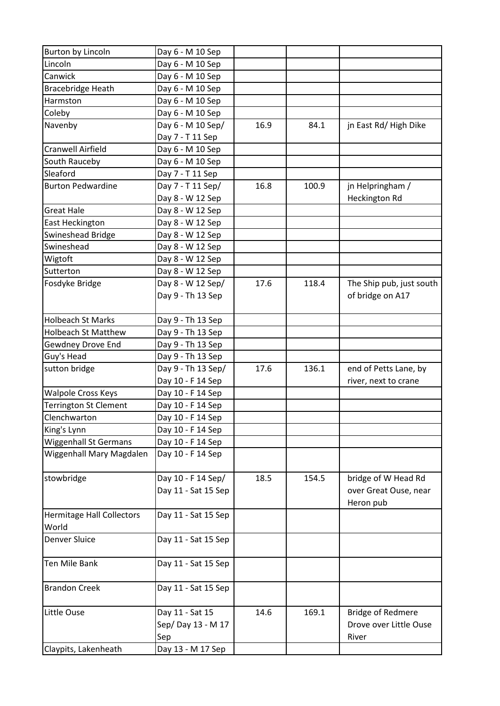| Burton by Lincoln                | Day 6 - M 10 Sep    |      |       |                          |
|----------------------------------|---------------------|------|-------|--------------------------|
| Lincoln                          | Day 6 - M 10 Sep    |      |       |                          |
| Canwick                          | Day 6 - M 10 Sep    |      |       |                          |
| Bracebridge Heath                | Day 6 - M 10 Sep    |      |       |                          |
| Harmston                         | Day 6 - M 10 Sep    |      |       |                          |
| Coleby                           | Day 6 - M 10 Sep    |      |       |                          |
| Navenby                          | Day 6 - M 10 Sep/   | 16.9 | 84.1  | jn East Rd/High Dike     |
|                                  | Day 7 - T 11 Sep    |      |       |                          |
| Cranwell Airfield                | Day 6 - M 10 Sep    |      |       |                          |
| South Rauceby                    | Day 6 - M 10 Sep    |      |       |                          |
| Sleaford                         | Day 7 - T 11 Sep    |      |       |                          |
| <b>Burton Pedwardine</b>         | Day 7 - T 11 Sep/   | 16.8 | 100.9 | jn Helpringham /         |
|                                  | Day 8 - W 12 Sep    |      |       | Heckington Rd            |
| <b>Great Hale</b>                | Day 8 - W 12 Sep    |      |       |                          |
| East Heckington                  | Day 8 - W 12 Sep    |      |       |                          |
| Swineshead Bridge                | Day 8 - W 12 Sep    |      |       |                          |
| Swineshead                       | Day 8 - W 12 Sep    |      |       |                          |
| Wigtoft                          | Day 8 - W 12 Sep    |      |       |                          |
| Sutterton                        | Day 8 - W 12 Sep    |      |       |                          |
| Fosdyke Bridge                   | Day 8 - W 12 Sep/   | 17.6 | 118.4 | The Ship pub, just south |
|                                  | Day 9 - Th 13 Sep   |      |       | of bridge on A17         |
|                                  |                     |      |       |                          |
| <b>Holbeach St Marks</b>         | Day 9 - Th 13 Sep   |      |       |                          |
| <b>Holbeach St Matthew</b>       | Day 9 - Th 13 Sep   |      |       |                          |
| Gewdney Drove End                | Day 9 - Th 13 Sep   |      |       |                          |
| Guy's Head                       | Day 9 - Th 13 Sep   |      |       |                          |
| sutton bridge                    | Day 9 - Th 13 Sep/  | 17.6 | 136.1 | end of Petts Lane, by    |
|                                  | Day 10 - F 14 Sep   |      |       | river, next to crane     |
| <b>Walpole Cross Keys</b>        | Day 10 - F 14 Sep   |      |       |                          |
| <b>Terrington St Clement</b>     | Day 10 - F 14 Sep   |      |       |                          |
| Clenchwarton                     | Day 10 - F 14 Sep   |      |       |                          |
| King's Lynn                      | Day 10 - F 14 Sep   |      |       |                          |
| <b>Wiggenhall St Germans</b>     | Day 10 - F 14 Sep   |      |       |                          |
| Wiggenhall Mary Magdalen         | Day 10 - F 14 Sep   |      |       |                          |
|                                  |                     |      |       |                          |
| stowbridge                       | Day 10 - F 14 Sep/  | 18.5 | 154.5 | bridge of W Head Rd      |
|                                  | Day 11 - Sat 15 Sep |      |       | over Great Ouse, near    |
|                                  |                     |      |       | Heron pub                |
| <b>Hermitage Hall Collectors</b> | Day 11 - Sat 15 Sep |      |       |                          |
| World                            |                     |      |       |                          |
| <b>Denver Sluice</b>             | Day 11 - Sat 15 Sep |      |       |                          |
|                                  |                     |      |       |                          |
| <b>Ten Mile Bank</b>             | Day 11 - Sat 15 Sep |      |       |                          |
|                                  |                     |      |       |                          |
| <b>Brandon Creek</b>             | Day 11 - Sat 15 Sep |      |       |                          |
|                                  |                     |      |       |                          |
| Little Ouse                      | Day 11 - Sat 15     | 14.6 | 169.1 | <b>Bridge of Redmere</b> |
|                                  | Sep/Day 13 - M 17   |      |       | Drove over Little Ouse   |
|                                  | Sep                 |      |       | River                    |
| Claypits, Lakenheath             | Day 13 - M 17 Sep   |      |       |                          |
|                                  |                     |      |       |                          |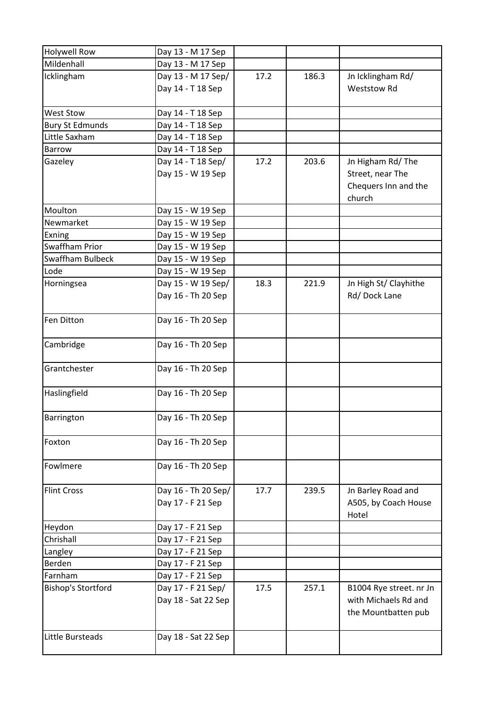| <b>Holywell Row</b>       | Day 13 - M 17 Sep   |      |       |                                             |
|---------------------------|---------------------|------|-------|---------------------------------------------|
| Mildenhall                | Day 13 - M 17 Sep   |      |       |                                             |
| Icklingham                | Day 13 - M 17 Sep/  | 17.2 | 186.3 | Jn Icklingham Rd/                           |
|                           | Day 14 - T 18 Sep   |      |       | <b>Weststow Rd</b>                          |
| <b>West Stow</b>          | Day 14 - T 18 Sep   |      |       |                                             |
| <b>Bury St Edmunds</b>    | Day 14 - T 18 Sep   |      |       |                                             |
| Little Saxham             | Day 14 - T 18 Sep   |      |       |                                             |
| <b>Barrow</b>             | Day 14 - T 18 Sep   |      |       |                                             |
| Gazeley                   | Day 14 - T 18 Sep/  | 17.2 | 203.6 | Jn Higham Rd/The                            |
|                           | Day 15 - W 19 Sep   |      |       | Street, near The                            |
|                           |                     |      |       | Chequers Inn and the<br>church              |
| Moulton                   | Day 15 - W 19 Sep   |      |       |                                             |
| Newmarket                 | Day 15 - W 19 Sep   |      |       |                                             |
| Exning                    | Day 15 - W 19 Sep   |      |       |                                             |
| Swaffham Prior            | Day 15 - W 19 Sep   |      |       |                                             |
| Swaffham Bulbeck          | Day 15 - W 19 Sep   |      |       |                                             |
| Lode                      | Day 15 - W 19 Sep   |      |       |                                             |
| Horningsea                | Day 15 - W 19 Sep/  | 18.3 | 221.9 | Jn High St/ Clayhithe                       |
|                           | Day 16 - Th 20 Sep  |      |       | Rd/Dock Lane                                |
| Fen Ditton                | Day 16 - Th 20 Sep  |      |       |                                             |
| Cambridge                 | Day 16 - Th 20 Sep  |      |       |                                             |
| Grantchester              | Day 16 - Th 20 Sep  |      |       |                                             |
| Haslingfield              | Day 16 - Th 20 Sep  |      |       |                                             |
| Barrington                | Day 16 - Th 20 Sep  |      |       |                                             |
| Foxton                    | Day 16 - Th 20 Sep  |      |       |                                             |
| Fowlmere                  | Day 16 - Th 20 Sep  |      |       |                                             |
| <b>Flint Cross</b>        | Day 16 - Th 20 Sep/ | 17.7 | 239.5 | Jn Barley Road and                          |
|                           | Day 17 - F 21 Sep   |      |       | A505, by Coach House<br>Hotel               |
| Heydon                    | Day 17 - F 21 Sep   |      |       |                                             |
| Chrishall                 | Day 17 - F 21 Sep   |      |       |                                             |
| Langley                   | Day 17 - F 21 Sep   |      |       |                                             |
| Berden                    | Day 17 - F 21 Sep   |      |       |                                             |
| Farnham                   | Day 17 - F 21 Sep   |      |       |                                             |
| <b>Bishop's Stortford</b> | Day 17 - F 21 Sep/  | 17.5 | 257.1 | B1004 Rye street. nr Jn                     |
|                           | Day 18 - Sat 22 Sep |      |       | with Michaels Rd and<br>the Mountbatten pub |
| Little Bursteads          | Day 18 - Sat 22 Sep |      |       |                                             |